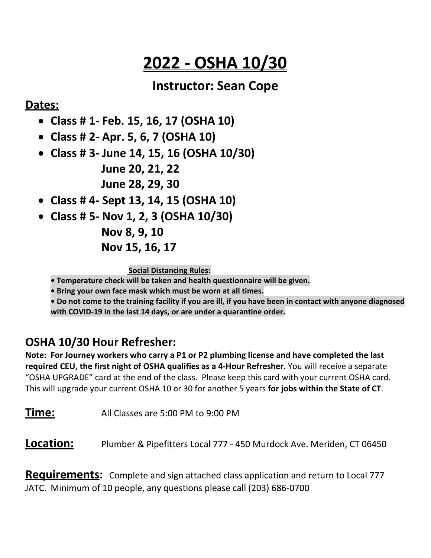# **2022 - OSHA 10/30**

### **Instructor: Sean Cope**

#### **Dates:**

- **Class # 1- Feb. 15, 16, 17 (OSHA 10)**
- **Class # 2- Apr. 5, 6, 7 (OSHA 10)**
- **Class # 3- June 14, 15, 16 (OSHA 10/30) June 20, 21, 22**

**June 28, 29, 30**

- **Class # 4- Sept 13, 14, 15 (OSHA 10)**
- **Class # 5- Nov 1, 2, 3 (OSHA 10/30)**

**Nov 8, 9, 10**

**Nov 15, 16, 17** 

**Social Distancing Rules:** 

**• Temperature check will be taken and health questionnaire will be given.**

**• Bring your own face mask which must be worn at all times.**

**• Do not come to the training facility if you are ill, if you have been in contact with anyone diagnosed with COVID-19 in the last 14 days, or are under a quarantine order.**

## **OSHA 10/30 Hour Refresher:**

**Note: For Journey workers who carry a P1 or P2 plumbing license and have completed the last required CEU, the first night of OSHA qualifies as a 4-Hour Refresher.** You will receive a separate "OSHA UPGRADE" card at the end of the class. Please keep this card with your current OSHA card. This will upgrade your current OSHA 10 or 30 for another 5 years **for jobs within the State of CT**.

**Time:** All Classes are 5:00 PM to 9:00 PM

**Location:** Plumber & Pipefitters Local 777 - 450 Murdock Ave. Meriden, CT 06450

**Requirements:** Complete and sign attached class application and return to Local 777 JATC. Minimum of 10 people, any questions please call (203) 686-0700